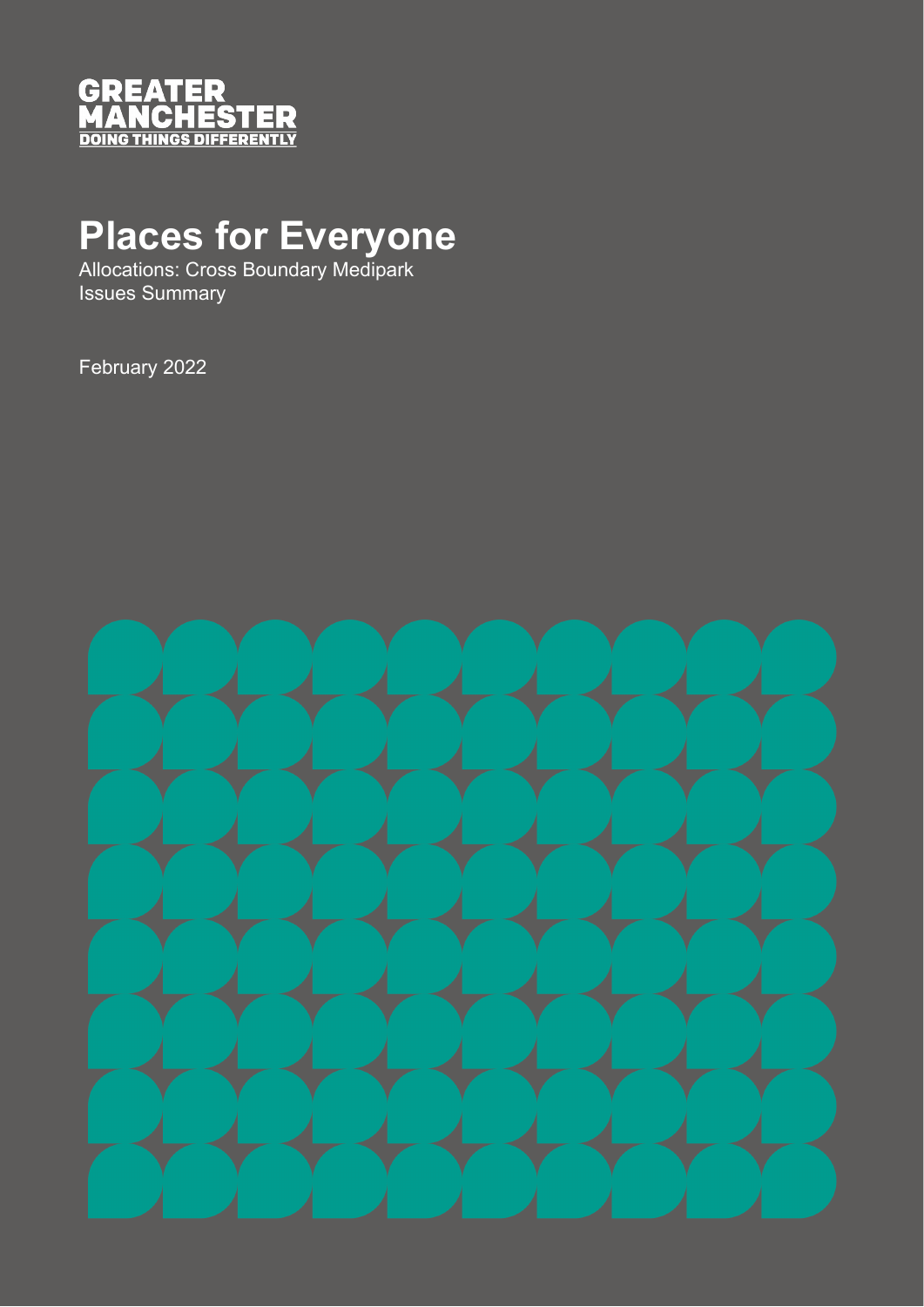

## **Places for Everyone**

Allocations: Cross Boundary Medipark Issues Summary

February 2022

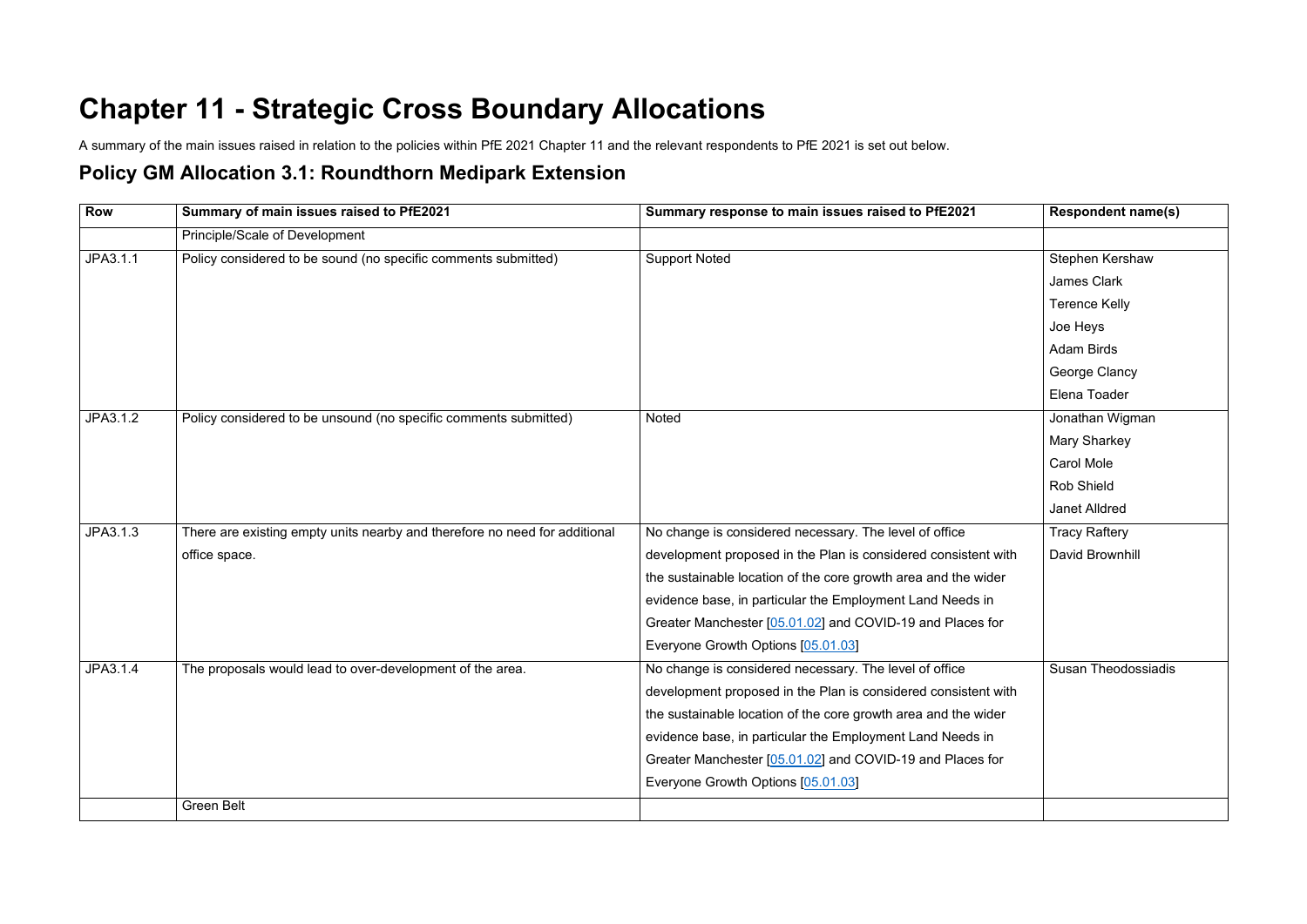## **Chapter 11 - Strategic Cross Boundary Allocations**

A summary of the main issues raised in relation to the policies within PfE 2021 Chapter 11 and the relevant respondents to PfE 2021 is set out below.

## **Policy GM Allocation 3.1: Roundthorn Medipark Extension**

| <b>Row</b> | Summary of main issues raised to PfE2021                                   | Summary response to main issues raised to PfE2021              | <b>Respondent name(s)</b>  |
|------------|----------------------------------------------------------------------------|----------------------------------------------------------------|----------------------------|
|            | Principle/Scale of Development                                             |                                                                |                            |
| JPA3.1.1   | Policy considered to be sound (no specific comments submitted)             | <b>Support Noted</b>                                           | Stephen Kershaw            |
|            |                                                                            |                                                                | <b>James Clark</b>         |
|            |                                                                            |                                                                | <b>Terence Kelly</b>       |
|            |                                                                            |                                                                | Joe Heys                   |
|            |                                                                            |                                                                | <b>Adam Birds</b>          |
|            |                                                                            |                                                                | George Clancy              |
|            |                                                                            |                                                                | Elena Toader               |
| JPA3.1.2   | Policy considered to be unsound (no specific comments submitted)           | Noted                                                          | Jonathan Wigman            |
|            |                                                                            |                                                                | <b>Mary Sharkey</b>        |
|            |                                                                            |                                                                | <b>Carol Mole</b>          |
|            |                                                                            |                                                                | <b>Rob Shield</b>          |
|            |                                                                            |                                                                | <b>Janet Alldred</b>       |
| JPA3.1.3   | There are existing empty units nearby and therefore no need for additional | No change is considered necessary. The level of office         | <b>Tracy Raftery</b>       |
|            | office space.                                                              | development proposed in the Plan is considered consistent with | David Brownhill            |
|            |                                                                            | the sustainable location of the core growth area and the wider |                            |
|            |                                                                            | evidence base, in particular the Employment Land Needs in      |                            |
|            |                                                                            | Greater Manchester [05.01.02] and COVID-19 and Places for      |                            |
|            |                                                                            | Everyone Growth Options [05.01.03]                             |                            |
| JPA3.1.4   | The proposals would lead to over-development of the area.                  | No change is considered necessary. The level of office         | <b>Susan Theodossiadis</b> |
|            |                                                                            | development proposed in the Plan is considered consistent with |                            |
|            |                                                                            | the sustainable location of the core growth area and the wider |                            |
|            |                                                                            | evidence base, in particular the Employment Land Needs in      |                            |
|            |                                                                            | Greater Manchester [05.01.02] and COVID-19 and Places for      |                            |
|            |                                                                            | Everyone Growth Options [05.01.03]                             |                            |
|            | <b>Green Belt</b>                                                          |                                                                |                            |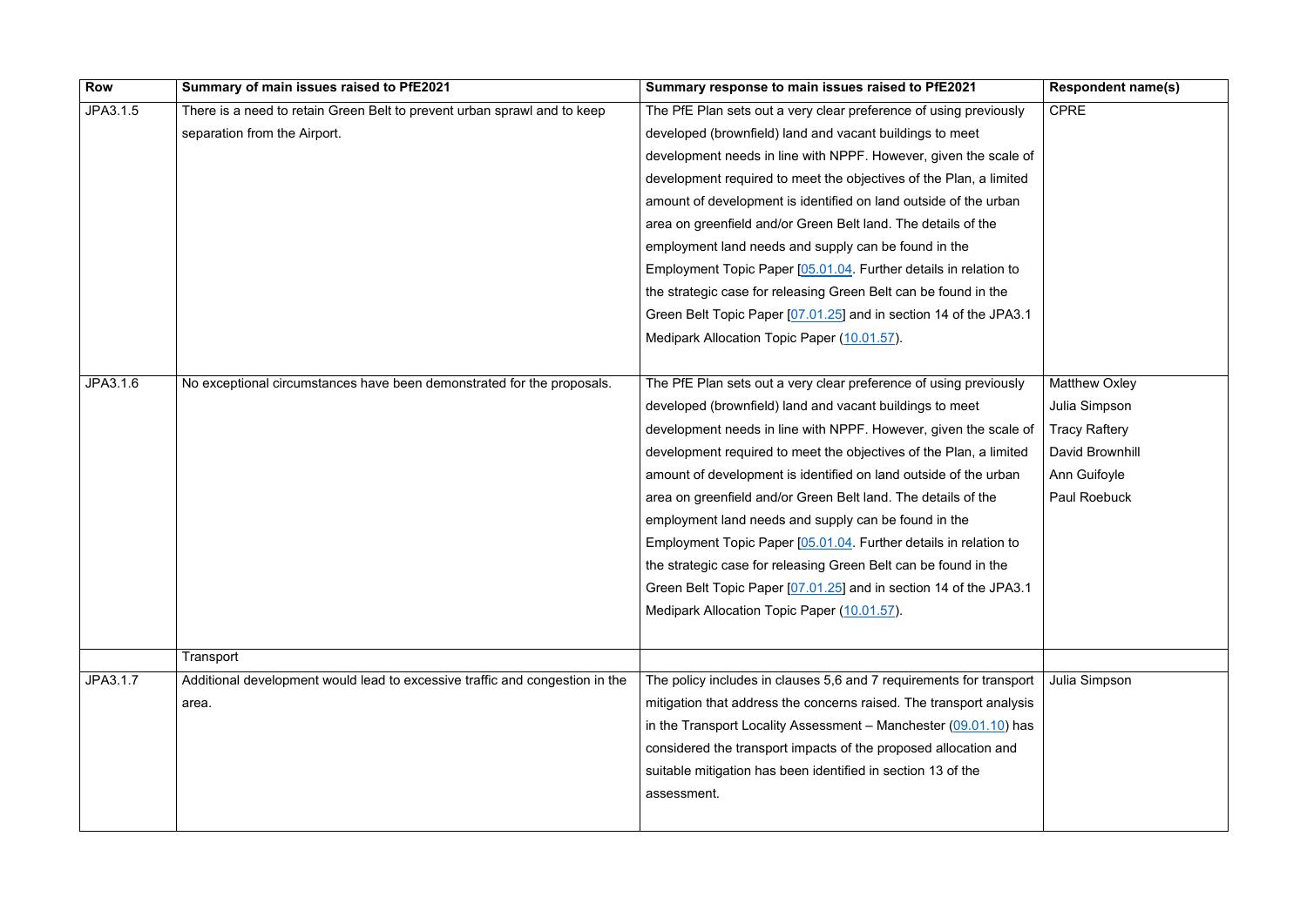| <b>Row</b> | Summary of main issues raised to PfE2021                                     | Summary response to main issues raised to PfE2021                   | <b>Respondent name(s)</b> |
|------------|------------------------------------------------------------------------------|---------------------------------------------------------------------|---------------------------|
| JPA3.1.5   | There is a need to retain Green Belt to prevent urban sprawl and to keep     | The PfE Plan sets out a very clear preference of using previously   | <b>CPRE</b>               |
|            | separation from the Airport.                                                 | developed (brownfield) land and vacant buildings to meet            |                           |
|            |                                                                              | development needs in line with NPPF. However, given the scale of    |                           |
|            |                                                                              | development required to meet the objectives of the Plan, a limited  |                           |
|            |                                                                              | amount of development is identified on land outside of the urban    |                           |
|            |                                                                              | area on greenfield and/or Green Belt land. The details of the       |                           |
|            |                                                                              | employment land needs and supply can be found in the                |                           |
|            |                                                                              | Employment Topic Paper [05.01.04. Further details in relation to    |                           |
|            |                                                                              | the strategic case for releasing Green Belt can be found in the     |                           |
|            |                                                                              | Green Belt Topic Paper [07.01.25] and in section 14 of the JPA3.1   |                           |
|            |                                                                              | Medipark Allocation Topic Paper (10.01.57).                         |                           |
|            |                                                                              |                                                                     |                           |
| JPA3.1.6   | No exceptional circumstances have been demonstrated for the proposals.       | The PfE Plan sets out a very clear preference of using previously   | <b>Matthew Oxley</b>      |
|            |                                                                              | developed (brownfield) land and vacant buildings to meet            | Julia Simpson             |
|            |                                                                              | development needs in line with NPPF. However, given the scale of    | <b>Tracy Raftery</b>      |
|            |                                                                              | development required to meet the objectives of the Plan, a limited  | David Brownhill           |
|            |                                                                              | amount of development is identified on land outside of the urban    | Ann Guifoyle              |
|            |                                                                              | area on greenfield and/or Green Belt land. The details of the       | Paul Roebuck              |
|            |                                                                              | employment land needs and supply can be found in the                |                           |
|            |                                                                              | Employment Topic Paper [05.01.04. Further details in relation to    |                           |
|            |                                                                              | the strategic case for releasing Green Belt can be found in the     |                           |
|            |                                                                              | Green Belt Topic Paper [07.01.25] and in section 14 of the JPA3.1   |                           |
|            |                                                                              | Medipark Allocation Topic Paper (10.01.57).                         |                           |
|            |                                                                              |                                                                     |                           |
|            | Transport                                                                    |                                                                     |                           |
| JPA3.1.7   | Additional development would lead to excessive traffic and congestion in the | The policy includes in clauses 5,6 and 7 requirements for transport | Julia Simpson             |
|            | area.                                                                        | mitigation that address the concerns raised. The transport analysis |                           |
|            |                                                                              | in the Transport Locality Assessment - Manchester $(09.01.10)$ has  |                           |
|            |                                                                              | considered the transport impacts of the proposed allocation and     |                           |
|            |                                                                              | suitable mitigation has been identified in section 13 of the        |                           |
|            |                                                                              | assessment.                                                         |                           |
|            |                                                                              |                                                                     |                           |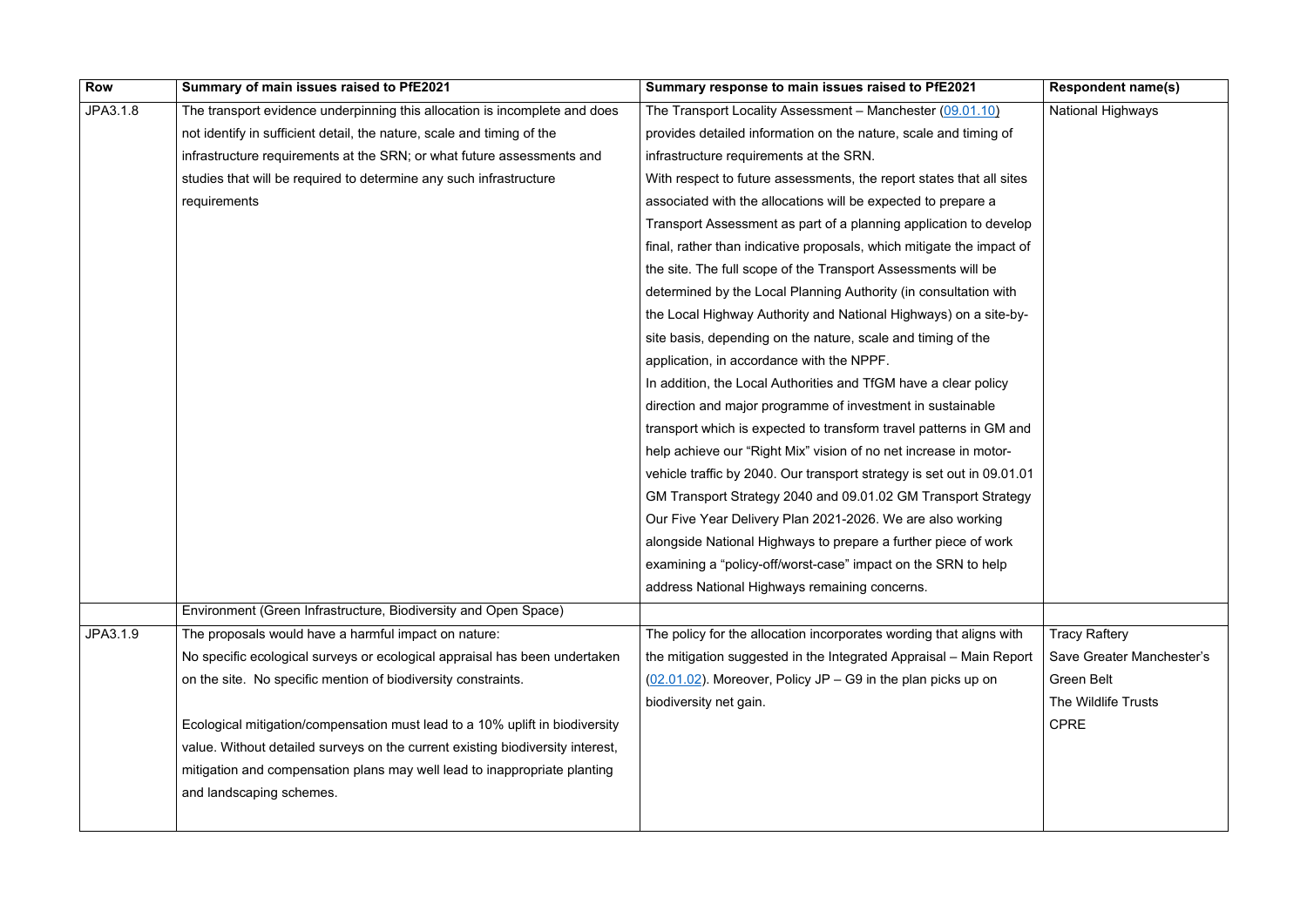| <b>Row</b> | Summary of main issues raised to PfE2021                                       | Summary response to main issues raised to PfE2021                      | <b>Respondent name(s)</b> |
|------------|--------------------------------------------------------------------------------|------------------------------------------------------------------------|---------------------------|
| JPA3.1.8   | The transport evidence underpinning this allocation is incomplete and does     | The Transport Locality Assessment - Manchester (09.01.10)              | <b>National Highways</b>  |
|            | not identify in sufficient detail, the nature, scale and timing of the         | provides detailed information on the nature, scale and timing of       |                           |
|            | infrastructure requirements at the SRN; or what future assessments and         | infrastructure requirements at the SRN.                                |                           |
|            | studies that will be required to determine any such infrastructure             | With respect to future assessments, the report states that all sites   |                           |
|            | requirements                                                                   | associated with the allocations will be expected to prepare a          |                           |
|            |                                                                                | Transport Assessment as part of a planning application to develop      |                           |
|            |                                                                                | final, rather than indicative proposals, which mitigate the impact of  |                           |
|            |                                                                                | the site. The full scope of the Transport Assessments will be          |                           |
|            |                                                                                | determined by the Local Planning Authority (in consultation with       |                           |
|            |                                                                                | the Local Highway Authority and National Highways) on a site-by-       |                           |
|            |                                                                                | site basis, depending on the nature, scale and timing of the           |                           |
|            |                                                                                | application, in accordance with the NPPF.                              |                           |
|            |                                                                                | In addition, the Local Authorities and TfGM have a clear policy        |                           |
|            |                                                                                | direction and major programme of investment in sustainable             |                           |
|            |                                                                                | transport which is expected to transform travel patterns in GM and     |                           |
|            |                                                                                | help achieve our "Right Mix" vision of no net increase in motor-       |                           |
|            |                                                                                | vehicle traffic by 2040. Our transport strategy is set out in 09.01.01 |                           |
|            |                                                                                | GM Transport Strategy 2040 and 09.01.02 GM Transport Strategy          |                           |
|            |                                                                                | Our Five Year Delivery Plan 2021-2026. We are also working             |                           |
|            |                                                                                | alongside National Highways to prepare a further piece of work         |                           |
|            |                                                                                | examining a "policy-off/worst-case" impact on the SRN to help          |                           |
|            |                                                                                | address National Highways remaining concerns.                          |                           |
|            | Environment (Green Infrastructure, Biodiversity and Open Space)                |                                                                        |                           |
| JPA3.1.9   | The proposals would have a harmful impact on nature:                           | The policy for the allocation incorporates wording that aligns with    | <b>Tracy Raftery</b>      |
|            | No specific ecological surveys or ecological appraisal has been undertaken     | the mitigation suggested in the Integrated Appraisal - Main Report     | Save Greater Manchester's |
|            | on the site. No specific mention of biodiversity constraints.                  | $(02.01.02)$ . Moreover, Policy JP – G9 in the plan picks up on        | <b>Green Belt</b>         |
|            |                                                                                | biodiversity net gain.                                                 | The Wildlife Trusts       |
|            | Ecological mitigation/compensation must lead to a 10% uplift in biodiversity   |                                                                        | <b>CPRE</b>               |
|            | value. Without detailed surveys on the current existing biodiversity interest, |                                                                        |                           |
|            | mitigation and compensation plans may well lead to inappropriate planting      |                                                                        |                           |
|            | and landscaping schemes.                                                       |                                                                        |                           |
|            |                                                                                |                                                                        |                           |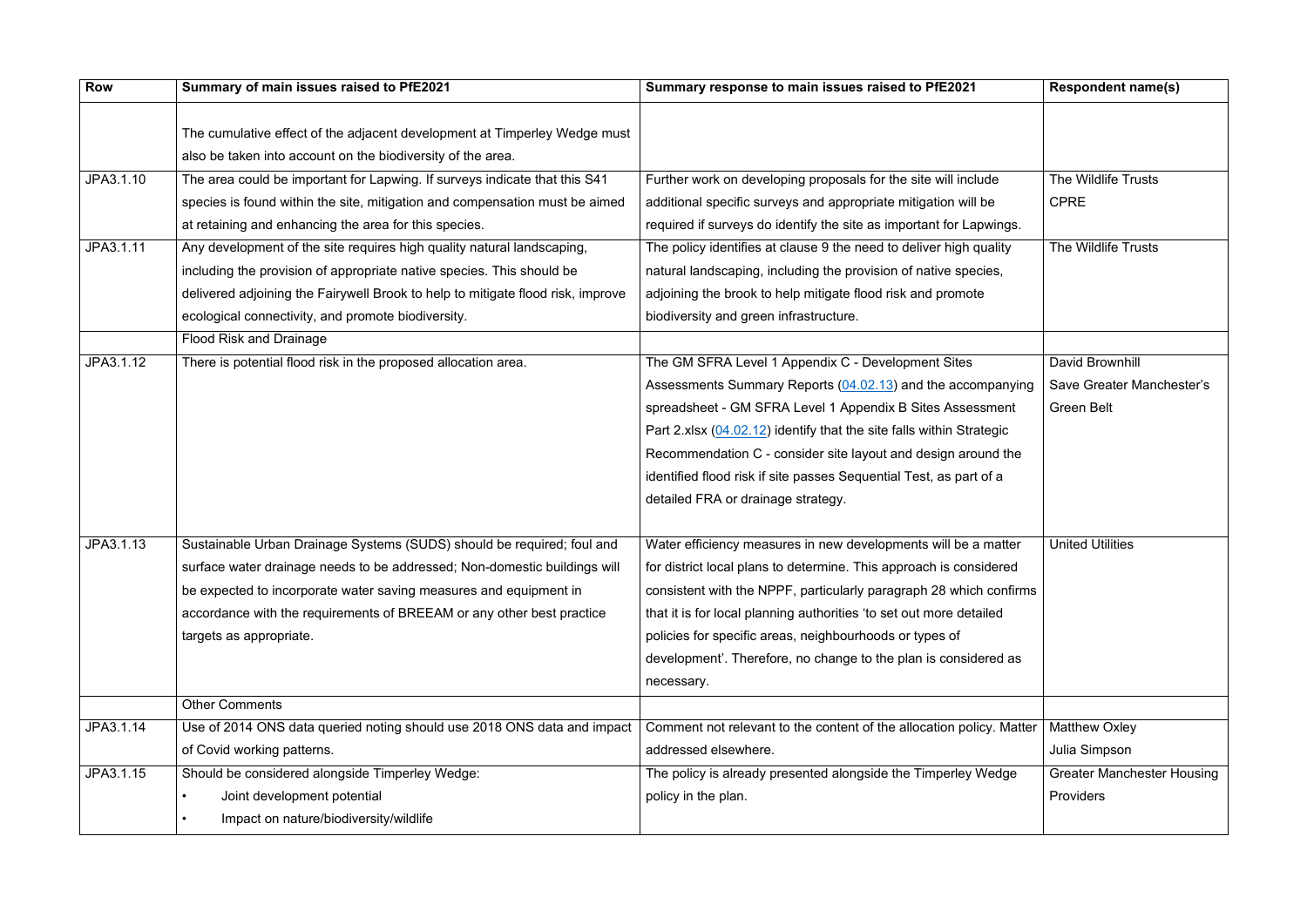| <b>Row</b> | Summary of main issues raised to PfE2021                                        | Summary response to main issues raised to PfE2021                    | <b>Respondent name(s)</b>         |
|------------|---------------------------------------------------------------------------------|----------------------------------------------------------------------|-----------------------------------|
|            |                                                                                 |                                                                      |                                   |
|            | The cumulative effect of the adjacent development at Timperley Wedge must       |                                                                      |                                   |
|            | also be taken into account on the biodiversity of the area.                     |                                                                      |                                   |
| JPA3.1.10  | The area could be important for Lapwing. If surveys indicate that this S41      | Further work on developing proposals for the site will include       | The Wildlife Trusts               |
|            | species is found within the site, mitigation and compensation must be aimed     | additional specific surveys and appropriate mitigation will be       | <b>CPRE</b>                       |
|            | at retaining and enhancing the area for this species.                           | required if surveys do identify the site as important for Lapwings.  |                                   |
| JPA3.1.11  | Any development of the site requires high quality natural landscaping,          | The policy identifies at clause 9 the need to deliver high quality   | The Wildlife Trusts               |
|            | including the provision of appropriate native species. This should be           | natural landscaping, including the provision of native species,      |                                   |
|            | delivered adjoining the Fairywell Brook to help to mitigate flood risk, improve | adjoining the brook to help mitigate flood risk and promote          |                                   |
|            | ecological connectivity, and promote biodiversity.                              | biodiversity and green infrastructure.                               |                                   |
|            | Flood Risk and Drainage                                                         |                                                                      |                                   |
| JPA3.1.12  | There is potential flood risk in the proposed allocation area.                  | The GM SFRA Level 1 Appendix C - Development Sites                   | David Brownhill                   |
|            |                                                                                 | Assessments Summary Reports (04.02.13) and the accompanying          | Save Greater Manchester's         |
|            |                                                                                 | spreadsheet - GM SFRA Level 1 Appendix B Sites Assessment            | <b>Green Belt</b>                 |
|            |                                                                                 | Part 2.xlsx (04.02.12) identify that the site falls within Strategic |                                   |
|            |                                                                                 | Recommendation C - consider site layout and design around the        |                                   |
|            |                                                                                 | identified flood risk if site passes Sequential Test, as part of a   |                                   |
|            |                                                                                 | detailed FRA or drainage strategy.                                   |                                   |
|            |                                                                                 |                                                                      |                                   |
| JPA3.1.13  | Sustainable Urban Drainage Systems (SUDS) should be required; foul and          | Water efficiency measures in new developments will be a matter       | <b>United Utilities</b>           |
|            | surface water drainage needs to be addressed; Non-domestic buildings will       | for district local plans to determine. This approach is considered   |                                   |
|            | be expected to incorporate water saving measures and equipment in               | consistent with the NPPF, particularly paragraph 28 which confirms   |                                   |
|            | accordance with the requirements of BREEAM or any other best practice           | that it is for local planning authorities 'to set out more detailed  |                                   |
|            | targets as appropriate.                                                         | policies for specific areas, neighbourhoods or types of              |                                   |
|            |                                                                                 | development'. Therefore, no change to the plan is considered as      |                                   |
|            |                                                                                 | necessary.                                                           |                                   |
|            | <b>Other Comments</b>                                                           |                                                                      |                                   |
| JPA3.1.14  | Use of 2014 ONS data queried noting should use 2018 ONS data and impact         | Comment not relevant to the content of the allocation policy. Matter | <b>Matthew Oxley</b>              |
|            | of Covid working patterns.                                                      | addressed elsewhere.                                                 | Julia Simpson                     |
| JPA3.1.15  | Should be considered alongside Timperley Wedge:                                 | The policy is already presented alongside the Timperley Wedge        | <b>Greater Manchester Housing</b> |
|            | Joint development potential                                                     | policy in the plan.                                                  | Providers                         |
|            | Impact on nature/biodiversity/wildlife                                          |                                                                      |                                   |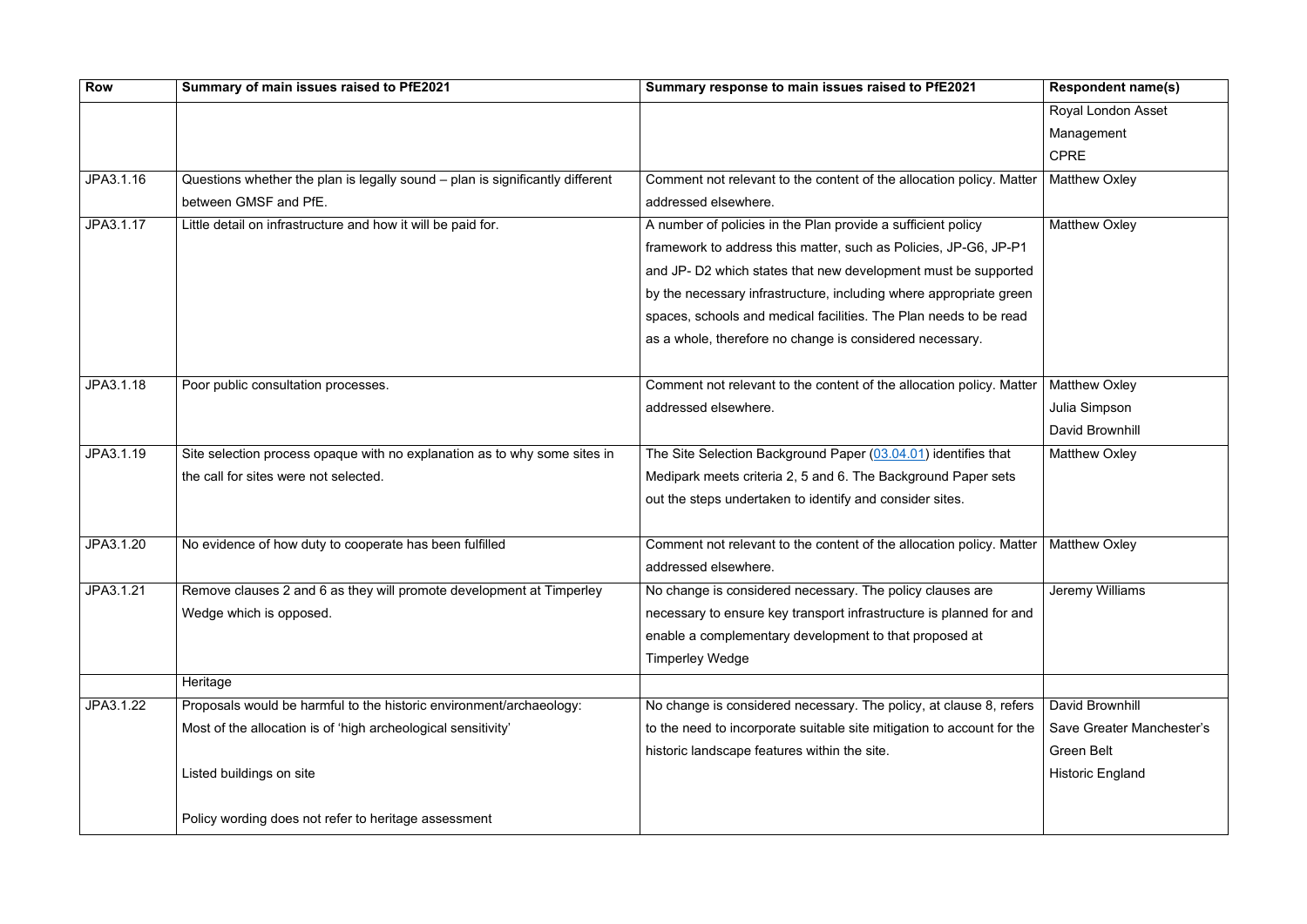| <b>Row</b> | Summary of main issues raised to PfE2021                                      | Summary response to main issues raised to PfE2021                      | <b>Respondent name(s)</b> |
|------------|-------------------------------------------------------------------------------|------------------------------------------------------------------------|---------------------------|
|            |                                                                               |                                                                        | <b>Royal London Asset</b> |
|            |                                                                               |                                                                        | Management                |
|            |                                                                               |                                                                        | <b>CPRE</b>               |
| JPA3.1.16  | Questions whether the plan is legally sound – plan is significantly different | Comment not relevant to the content of the allocation policy. Matter   | <b>Matthew Oxley</b>      |
|            | between GMSF and PfE.                                                         | addressed elsewhere.                                                   |                           |
| JPA3.1.17  | Little detail on infrastructure and how it will be paid for.                  | A number of policies in the Plan provide a sufficient policy           | <b>Matthew Oxley</b>      |
|            |                                                                               | framework to address this matter, such as Policies, JP-G6, JP-P1       |                           |
|            |                                                                               | and JP- D2 which states that new development must be supported         |                           |
|            |                                                                               | by the necessary infrastructure, including where appropriate green     |                           |
|            |                                                                               | spaces, schools and medical facilities. The Plan needs to be read      |                           |
|            |                                                                               | as a whole, therefore no change is considered necessary.               |                           |
| JPA3.1.18  | Poor public consultation processes.                                           | Comment not relevant to the content of the allocation policy. Matter   | <b>Matthew Oxley</b>      |
|            |                                                                               | addressed elsewhere.                                                   | Julia Simpson             |
|            |                                                                               |                                                                        | David Brownhill           |
| JPA3.1.19  | Site selection process opaque with no explanation as to why some sites in     | The Site Selection Background Paper (03.04.01) identifies that         | <b>Matthew Oxley</b>      |
|            | the call for sites were not selected.                                         | Medipark meets criteria 2, 5 and 6. The Background Paper sets          |                           |
|            |                                                                               | out the steps undertaken to identify and consider sites.               |                           |
|            |                                                                               |                                                                        |                           |
| JPA3.1.20  | No evidence of how duty to cooperate has been fulfilled                       | Comment not relevant to the content of the allocation policy. Matter   | <b>Matthew Oxley</b>      |
|            |                                                                               | addressed elsewhere.                                                   |                           |
| JPA3.1.21  | Remove clauses 2 and 6 as they will promote development at Timperley          | No change is considered necessary. The policy clauses are              | Jeremy Williams           |
|            | Wedge which is opposed.                                                       | necessary to ensure key transport infrastructure is planned for and    |                           |
|            |                                                                               | enable a complementary development to that proposed at                 |                           |
|            |                                                                               | <b>Timperley Wedge</b>                                                 |                           |
|            | Heritage                                                                      |                                                                        |                           |
| JPA3.1.22  | Proposals would be harmful to the historic environment/archaeology:           | No change is considered necessary. The policy, at clause 8, refers     | David Brownhill           |
|            | Most of the allocation is of 'high archeological sensitivity'                 | to the need to incorporate suitable site mitigation to account for the | Save Greater Manchester's |
|            |                                                                               | historic landscape features within the site.                           | <b>Green Belt</b>         |
|            | Listed buildings on site                                                      |                                                                        | <b>Historic England</b>   |
|            | Policy wording does not refer to heritage assessment                          |                                                                        |                           |